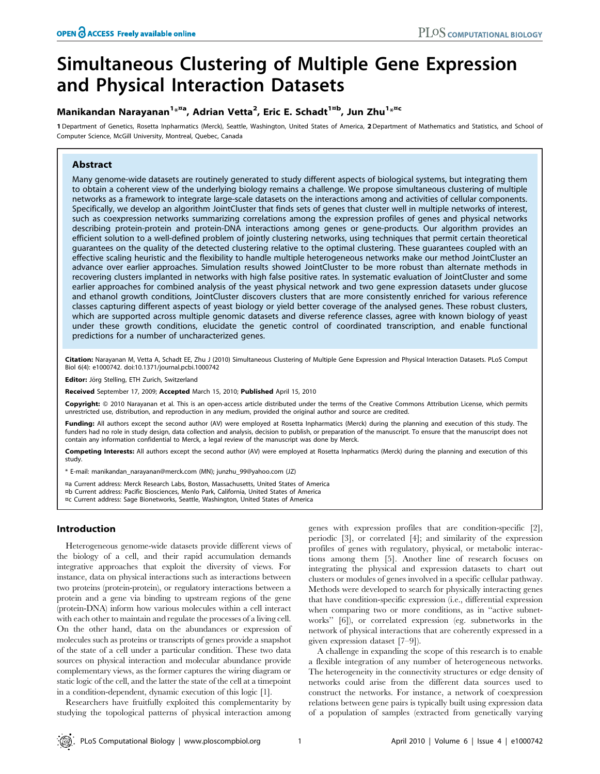# Simultaneous Clustering of Multiple Gene Expression and Physical Interaction Datasets

# Manikandan Narayanan<sup>1</sup>\*¤a, Adrian Vetta<sup>2</sup>, Eric E. Schadt<sup>1¤b</sup>, Jun Zhu<sup>1</sup>\*<sup>¤c</sup>

1 Department of Genetics, Rosetta Inpharmatics (Merck), Seattle, Washington, United States of America, 2Department of Mathematics and Statistics, and School of Computer Science, McGill University, Montreal, Quebec, Canada

# Abstract

Many genome-wide datasets are routinely generated to study different aspects of biological systems, but integrating them to obtain a coherent view of the underlying biology remains a challenge. We propose simultaneous clustering of multiple networks as a framework to integrate large-scale datasets on the interactions among and activities of cellular components. Specifically, we develop an algorithm JointCluster that finds sets of genes that cluster well in multiple networks of interest, such as coexpression networks summarizing correlations among the expression profiles of genes and physical networks describing protein-protein and protein-DNA interactions among genes or gene-products. Our algorithm provides an efficient solution to a well-defined problem of jointly clustering networks, using techniques that permit certain theoretical guarantees on the quality of the detected clustering relative to the optimal clustering. These guarantees coupled with an effective scaling heuristic and the flexibility to handle multiple heterogeneous networks make our method JointCluster an advance over earlier approaches. Simulation results showed JointCluster to be more robust than alternate methods in recovering clusters implanted in networks with high false positive rates. In systematic evaluation of JointCluster and some earlier approaches for combined analysis of the yeast physical network and two gene expression datasets under glucose and ethanol growth conditions, JointCluster discovers clusters that are more consistently enriched for various reference classes capturing different aspects of yeast biology or yield better coverage of the analysed genes. These robust clusters, which are supported across multiple genomic datasets and diverse reference classes, agree with known biology of yeast under these growth conditions, elucidate the genetic control of coordinated transcription, and enable functional predictions for a number of uncharacterized genes.

Citation: Narayanan M, Vetta A, Schadt EE, Zhu J (2010) Simultaneous Clustering of Multiple Gene Expression and Physical Interaction Datasets. PLoS Comput Biol 6(4): e1000742. doi:10.1371/journal.pcbi.1000742

Editor: Jörg Stelling, ETH Zurich, Switzerland

Received September 17, 2009; Accepted March 15, 2010; Published April 15, 2010

Copyright: © 2010 Narayanan et al. This is an open-access article distributed under the terms of the Creative Commons Attribution License, which permits unrestricted use, distribution, and reproduction in any medium, provided the original author and source are credited.

Funding: All authors except the second author (AV) were employed at Rosetta Inpharmatics (Merck) during the planning and execution of this study. The funders had no role in study design, data collection and analysis, decision to publish, or preparation of the manuscript. To ensure that the manuscript does not contain any information confidential to Merck, a legal review of the manuscript was done by Merck.

Competing Interests: All authors except the second author (AV) were employed at Rosetta Inpharmatics (Merck) during the planning and execution of this study.

\* E-mail: manikandan\_narayanan@merck.com (MN); junzhu\_99@yahoo.com (JZ)

¤a Current address: Merck Research Labs, Boston, Massachusetts, United States of America

¤b Current address: Pacific Biosciences, Menlo Park, California, United States of America

¤c Current address: Sage Bionetworks, Seattle, Washington, United States of America

# Introduction

Heterogeneous genome-wide datasets provide different views of the biology of a cell, and their rapid accumulation demands integrative approaches that exploit the diversity of views. For instance, data on physical interactions such as interactions between two proteins (protein-protein), or regulatory interactions between a protein and a gene via binding to upstream regions of the gene (protein-DNA) inform how various molecules within a cell interact with each other to maintain and regulate the processes of a living cell. On the other hand, data on the abundances or expression of molecules such as proteins or transcripts of genes provide a snapshot of the state of a cell under a particular condition. These two data sources on physical interaction and molecular abundance provide complementary views, as the former captures the wiring diagram or static logic of the cell, and the latter the state of the cell at a timepoint in a condition-dependent, dynamic execution of this logic [1].

Researchers have fruitfully exploited this complementarity by studying the topological patterns of physical interaction among genes with expression profiles that are condition-specific [2], periodic [3], or correlated [4]; and similarity of the expression profiles of genes with regulatory, physical, or metabolic interactions among them [5]. Another line of research focuses on integrating the physical and expression datasets to chart out clusters or modules of genes involved in a specific cellular pathway. Methods were developed to search for physically interacting genes that have condition-specific expression (i.e., differential expression when comparing two or more conditions, as in "active subnetworks'' [6]), or correlated expression (eg. subnetworks in the network of physical interactions that are coherently expressed in a given expression dataset [7–9]).

A challenge in expanding the scope of this research is to enable a flexible integration of any number of heterogeneous networks. The heterogeneity in the connectivity structures or edge density of networks could arise from the different data sources used to construct the networks. For instance, a network of coexpression relations between gene pairs is typically built using expression data of a population of samples (extracted from genetically varying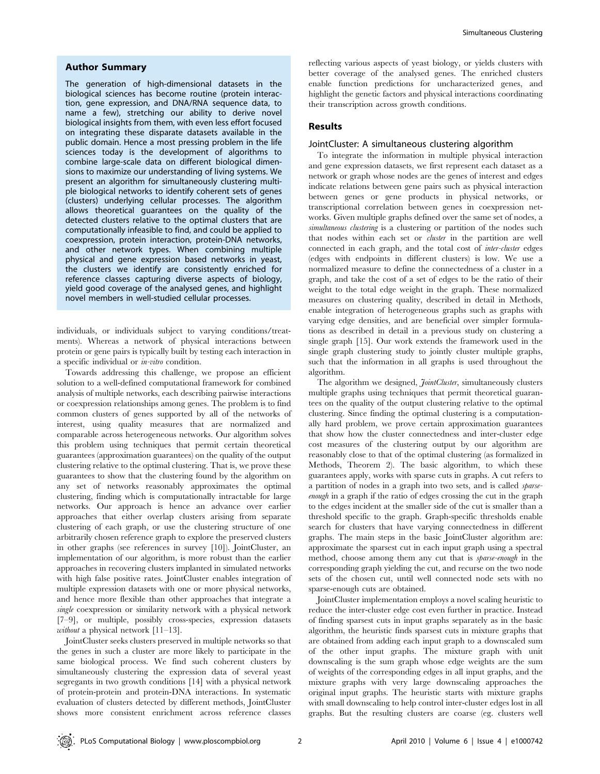#### Author Summary

The generation of high-dimensional datasets in the biological sciences has become routine (protein interaction, gene expression, and DNA/RNA sequence data, to name a few), stretching our ability to derive novel biological insights from them, with even less effort focused on integrating these disparate datasets available in the public domain. Hence a most pressing problem in the life sciences today is the development of algorithms to combine large-scale data on different biological dimensions to maximize our understanding of living systems. We present an algorithm for simultaneously clustering multiple biological networks to identify coherent sets of genes (clusters) underlying cellular processes. The algorithm allows theoretical guarantees on the quality of the detected clusters relative to the optimal clusters that are computationally infeasible to find, and could be applied to coexpression, protein interaction, protein-DNA networks, and other network types. When combining multiple physical and gene expression based networks in yeast, the clusters we identify are consistently enriched for reference classes capturing diverse aspects of biology, yield good coverage of the analysed genes, and highlight novel members in well-studied cellular processes.

individuals, or individuals subject to varying conditions/treatments). Whereas a network of physical interactions between protein or gene pairs is typically built by testing each interaction in a specific individual or in-vitro condition.

Towards addressing this challenge, we propose an efficient solution to a well-defined computational framework for combined analysis of multiple networks, each describing pairwise interactions or coexpression relationships among genes. The problem is to find common clusters of genes supported by all of the networks of interest, using quality measures that are normalized and comparable across heterogeneous networks. Our algorithm solves this problem using techniques that permit certain theoretical guarantees (approximation guarantees) on the quality of the output clustering relative to the optimal clustering. That is, we prove these guarantees to show that the clustering found by the algorithm on any set of networks reasonably approximates the optimal clustering, finding which is computationally intractable for large networks. Our approach is hence an advance over earlier approaches that either overlap clusters arising from separate clustering of each graph, or use the clustering structure of one arbitrarily chosen reference graph to explore the preserved clusters in other graphs (see references in survey [10]). JointCluster, an implementation of our algorithm, is more robust than the earlier approaches in recovering clusters implanted in simulated networks with high false positive rates. JointCluster enables integration of multiple expression datasets with one or more physical networks, and hence more flexible than other approaches that integrate a single coexpression or similarity network with a physical network [7–9], or multiple, possibly cross-species, expression datasets without a physical network  $[11-13]$ .

JointCluster seeks clusters preserved in multiple networks so that the genes in such a cluster are more likely to participate in the same biological process. We find such coherent clusters by simultaneously clustering the expression data of several yeast segregants in two growth conditions [14] with a physical network of protein-protein and protein-DNA interactions. In systematic evaluation of clusters detected by different methods, JointCluster shows more consistent enrichment across reference classes

reflecting various aspects of yeast biology, or yields clusters with better coverage of the analysed genes. The enriched clusters enable function predictions for uncharacterized genes, and highlight the genetic factors and physical interactions coordinating their transcription across growth conditions.

# Results

#### JointCluster: A simultaneous clustering algorithm

To integrate the information in multiple physical interaction and gene expression datasets, we first represent each dataset as a network or graph whose nodes are the genes of interest and edges indicate relations between gene pairs such as physical interaction between genes or gene products in physical networks, or transcriptional correlation between genes in coexpression networks. Given multiple graphs defined over the same set of nodes, a simultaneous clustering is a clustering or partition of the nodes such that nodes within each set or cluster in the partition are well connected in each graph, and the total cost of inter-cluster edges (edges with endpoints in different clusters) is low. We use a normalized measure to define the connectedness of a cluster in a graph, and take the cost of a set of edges to be the ratio of their weight to the total edge weight in the graph. These normalized measures on clustering quality, described in detail in Methods, enable integration of heterogeneous graphs such as graphs with varying edge densities, and are beneficial over simpler formulations as described in detail in a previous study on clustering a single graph [15]. Our work extends the framework used in the single graph clustering study to jointly cluster multiple graphs, such that the information in all graphs is used throughout the algorithm.

The algorithm we designed, *JointCluster*, simultaneously clusters multiple graphs using techniques that permit theoretical guarantees on the quality of the output clustering relative to the optimal clustering. Since finding the optimal clustering is a computationally hard problem, we prove certain approximation guarantees that show how the cluster connectedness and inter-cluster edge cost measures of the clustering output by our algorithm are reasonably close to that of the optimal clustering (as formalized in Methods, Theorem 2). The basic algorithm, to which these guarantees apply, works with sparse cuts in graphs. A cut refers to a partition of nodes in a graph into two sets, and is called sparseenough in a graph if the ratio of edges crossing the cut in the graph to the edges incident at the smaller side of the cut is smaller than a threshold specific to the graph. Graph-specific thresholds enable search for clusters that have varying connectedness in different graphs. The main steps in the basic JointCluster algorithm are: approximate the sparsest cut in each input graph using a spectral method, choose among them any cut that is sparse-enough in the corresponding graph yielding the cut, and recurse on the two node sets of the chosen cut, until well connected node sets with no sparse-enough cuts are obtained.

JointCluster implementation employs a novel scaling heuristic to reduce the inter-cluster edge cost even further in practice. Instead of finding sparsest cuts in input graphs separately as in the basic algorithm, the heuristic finds sparsest cuts in mixture graphs that are obtained from adding each input graph to a downscaled sum of the other input graphs. The mixture graph with unit downscaling is the sum graph whose edge weights are the sum of weights of the corresponding edges in all input graphs, and the mixture graphs with very large downscaling approaches the original input graphs. The heuristic starts with mixture graphs with small downscaling to help control inter-cluster edges lost in all graphs. But the resulting clusters are coarse (eg. clusters well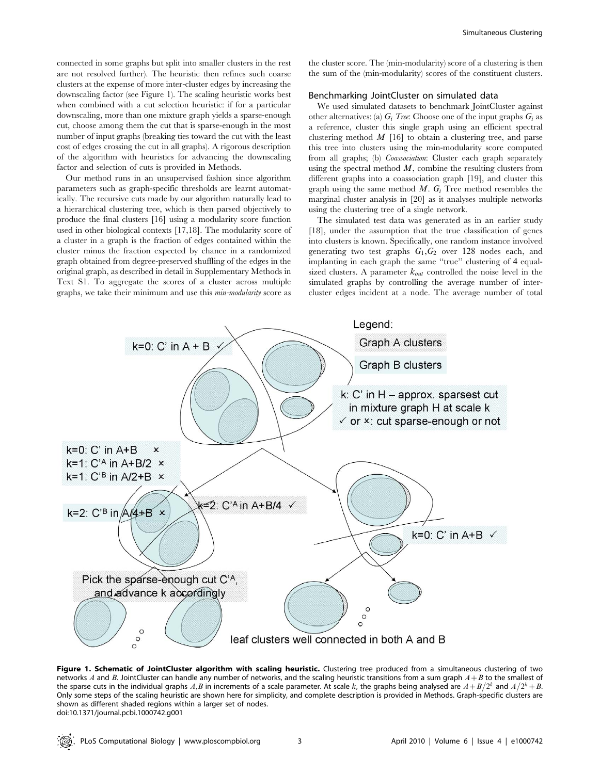connected in some graphs but split into smaller clusters in the rest are not resolved further). The heuristic then refines such coarse clusters at the expense of more inter-cluster edges by increasing the downscaling factor (see Figure 1). The scaling heuristic works best when combined with a cut selection heuristic: if for a particular downscaling, more than one mixture graph yields a sparse-enough cut, choose among them the cut that is sparse-enough in the most number of input graphs (breaking ties toward the cut with the least cost of edges crossing the cut in all graphs). A rigorous description of the algorithm with heuristics for advancing the downscaling factor and selection of cuts is provided in Methods.

Our method runs in an unsupervised fashion since algorithm parameters such as graph-specific thresholds are learnt automatically. The recursive cuts made by our algorithm naturally lead to a hierarchical clustering tree, which is then parsed objectively to produce the final clusters [16] using a modularity score function used in other biological contexts [17,18]. The modularity score of a cluster in a graph is the fraction of edges contained within the cluster minus the fraction expected by chance in a randomized graph obtained from degree-preserved shuffling of the edges in the original graph, as described in detail in Supplementary Methods in Text S1. To aggregate the scores of a cluster across multiple graphs, we take their minimum and use this min-modularity score as the cluster score. The (min-modularity) score of a clustering is then the sum of the (min-modularity) scores of the constituent clusters.

## Benchmarking JointCluster on simulated data

We used simulated datasets to benchmark JointCluster against other alternatives: (a)  $G_i$  Tree: Choose one of the input graphs  $G_i$  as a reference, cluster this single graph using an efficient spectral clustering method  $M$  [16] to obtain a clustering tree, and parse this tree into clusters using the min-modularity score computed from all graphs; (b) *Coassociation*: Cluster each graph separately using the spectral method  $M$ , combine the resulting clusters from different graphs into a coassociation graph [19], and cluster this graph using the same method  $M$ .  $G_i$  Tree method resembles the marginal cluster analysis in [20] as it analyses multiple networks using the clustering tree of a single network.

The simulated test data was generated as in an earlier study [18], under the assumption that the true classification of genes into clusters is known. Specifically, one random instance involved generating two test graphs  $G_1, G_2$  over 128 nodes each, and implanting in each graph the same "true" clustering of 4 equalsized clusters. A parameter  $k_{out}$  controlled the noise level in the simulated graphs by controlling the average number of intercluster edges incident at a node. The average number of total



Figure 1. Schematic of JointCluster algorithm with scaling heuristic. Clustering tree produced from a simultaneous clustering of two networks A and B. JointCluster can handle any number of networks, and the scaling heuristic transitions from a sum graph  $A + B$  to the smallest of the sparse cuts in the individual graphs  $A, B$  in increments of a scale parameter. At scale k, the graphs being analysed are  $A + B/2^k$  and  $A/2^k + B$ . Only some steps of the scaling heuristic are shown here for simplicity, and complete description is provided in Methods. Graph-specific clusters are shown as different shaded regions within a larger set of nodes. doi:10.1371/journal.pcbi.1000742.g001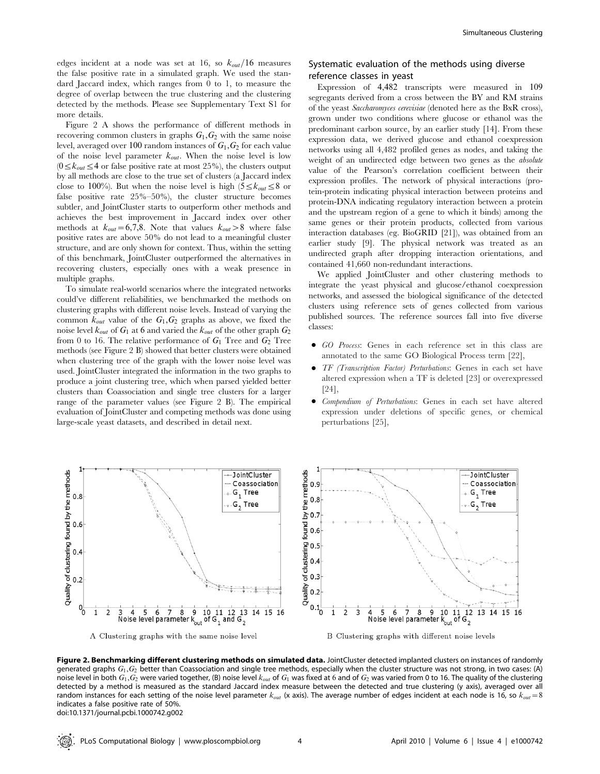edges incident at a node was set at 16, so  $k_{out}/16$  measures the false positive rate in a simulated graph. We used the standard Jaccard index, which ranges from 0 to 1, to measure the degree of overlap between the true clustering and the clustering detected by the methods. Please see Supplementary Text S1 for more details.

Figure 2 A shows the performance of different methods in recovering common clusters in graphs  $G_1, G_2$  with the same noise level, averaged over 100 random instances of  $G_1$ ,  $G_2$  for each value of the noise level parameter  $k_{out}$ . When the noise level is low  $(0 \leq k_{out} \leq 4$  or false positive rate at most 25%), the clusters output by all methods are close to the true set of clusters (a Jaccard index close to 100%). But when the noise level is high ( $5 \leq k_{out} \leq 8$  or false positive rate 25%–50%), the cluster structure becomes subtler, and JointCluster starts to outperform other methods and achieves the best improvement in Jaccard index over other methods at  $k_{out}=6,7,8$ . Note that values  $k_{out}>8$  where false positive rates are above 50% do not lead to a meaningful cluster structure, and are only shown for context. Thus, within the setting of this benchmark, JointCluster outperformed the alternatives in recovering clusters, especially ones with a weak presence in multiple graphs.

To simulate real-world scenarios where the integrated networks could've different reliabilities, we benchmarked the methods on clustering graphs with different noise levels. Instead of varying the common  $k_{out}$  value of the  $G_1, G_2$  graphs as above, we fixed the noise level  $k_{out}$  of  $G_1$  at 6 and varied the  $k_{out}$  of the other graph  $G_2$ from 0 to 16. The relative performance of  $G_1$  Tree and  $G_2$  Tree methods (see Figure 2 B) showed that better clusters were obtained when clustering tree of the graph with the lower noise level was used. JointCluster integrated the information in the two graphs to produce a joint clustering tree, which when parsed yielded better clusters than Coassociation and single tree clusters for a larger range of the parameter values (see Figure 2 B). The empirical evaluation of JointCluster and competing methods was done using large-scale yeast datasets, and described in detail next.

# Systematic evaluation of the methods using diverse reference classes in yeast

Expression of 4,482 transcripts were measured in 109 segregants derived from a cross between the BY and RM strains of the yeast Saccharomyces cerevisiae (denoted here as the BxR cross), grown under two conditions where glucose or ethanol was the predominant carbon source, by an earlier study [14]. From these expression data, we derived glucose and ethanol coexpression networks using all 4,482 profiled genes as nodes, and taking the weight of an undirected edge between two genes as the absolute value of the Pearson's correlation coefficient between their expression profiles. The network of physical interactions (protein-protein indicating physical interaction between proteins and protein-DNA indicating regulatory interaction between a protein and the upstream region of a gene to which it binds) among the same genes or their protein products, collected from various interaction databases (eg. BioGRID [21]), was obtained from an earlier study [9]. The physical network was treated as an undirected graph after dropping interaction orientations, and contained 41,660 non-redundant interactions.

We applied JointCluster and other clustering methods to integrate the yeast physical and glucose/ethanol coexpression networks, and assessed the biological significance of the detected clusters using reference sets of genes collected from various published sources. The reference sources fall into five diverse classes:

- N GO Process: Genes in each reference set in this class are annotated to the same GO Biological Process term [22],
- N TF (Transcription Factor) Perturbations: Genes in each set have altered expression when a TF is deleted [23] or overexpressed [24],
- Compendium of Perturbations: Genes in each set have altered expression under deletions of specific genes, or chemical perturbations [25],



Figure 2. Benchmarking different clustering methods on simulated data. JointCluster detected implanted clusters on instances of randomly generated graphs  $G_1, G_2$  better than Coassociation and single tree methods, especially when the cluster structure was not strong, in two cases: (A) noise level in both  $G_1, G_2$  were varied together, (B) noise level  $k_{out}$  of  $G_1$  was fixed at 6 and of  $G_2$  was varied from 0 to 16. The quality of the clustering detected by a method is measured as the standard Jaccard index measure between the detected and true clustering (y axis), averaged over all random instances for each setting of the noise level parameter  $k_{out}$  (x axis). The average number of edges incident at each node is 16, so  $k_{out}=8$ indicates a false positive rate of 50%. doi:10.1371/journal.pcbi.1000742.g002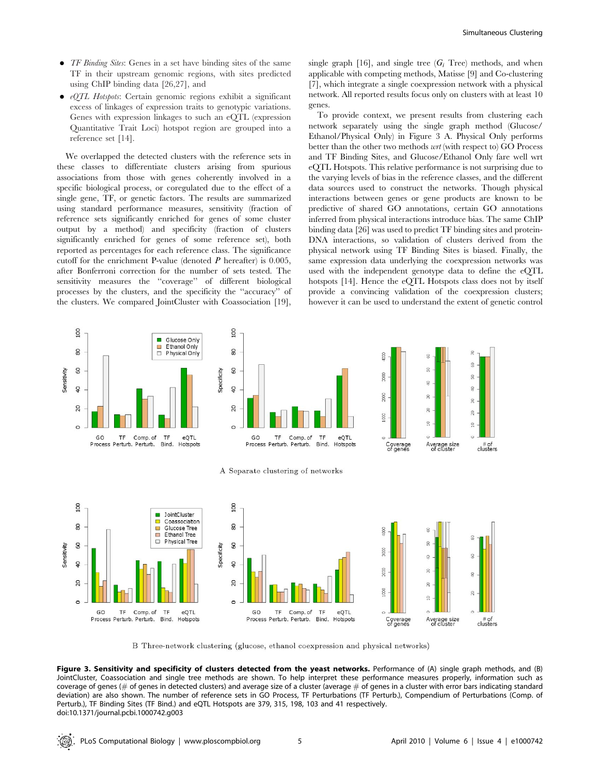- TF Binding Sites: Genes in a set have binding sites of the same TF in their upstream genomic regions, with sites predicted using ChIP binding data [26,27], and
- N eQTL Hotspots: Certain genomic regions exhibit a significant excess of linkages of expression traits to genotypic variations. Genes with expression linkages to such an eQTL (expression Quantitative Trait Loci) hotspot region are grouped into a reference set [14].

We overlapped the detected clusters with the reference sets in these classes to differentiate clusters arising from spurious associations from those with genes coherently involved in a specific biological process, or coregulated due to the effect of a single gene, TF, or genetic factors. The results are summarized using standard performance measures, sensitivity (fraction of reference sets significantly enriched for genes of some cluster output by a method) and specificity (fraction of clusters significantly enriched for genes of some reference set), both reported as percentages for each reference class. The significance cutoff for the enrichment P-value (denoted  $P$  hereafter) is 0.005, after Bonferroni correction for the number of sets tested. The sensitivity measures the ''coverage'' of different biological processes by the clusters, and the specificity the ''accuracy'' of the clusters. We compared JointCluster with Coassociation [19], single graph [16], and single tree  $(G_i$  Tree) methods, and when applicable with competing methods, Matisse [9] and Co-clustering [7], which integrate a single coexpression network with a physical network. All reported results focus only on clusters with at least 10 genes.

To provide context, we present results from clustering each network separately using the single graph method (Glucose/ Ethanol/Physical Only) in Figure 3 A. Physical Only performs better than the other two methods wrt (with respect to) GO Process and TF Binding Sites, and Glucose/Ethanol Only fare well wrt eQTL Hotspots. This relative performance is not surprising due to the varying levels of bias in the reference classes, and the different data sources used to construct the networks. Though physical interactions between genes or gene products are known to be predictive of shared GO annotations, certain GO annotations inferred from physical interactions introduce bias. The same ChIP binding data [26] was used to predict TF binding sites and protein-DNA interactions, so validation of clusters derived from the physical network using TF Binding Sites is biased. Finally, the same expression data underlying the coexpression networks was used with the independent genotype data to define the eQTL hotspots [14]. Hence the eQTL Hotspots class does not by itself provide a convincing validation of the coexpression clusters; however it can be used to understand the extent of genetic control





B Three-network clustering (glucose, ethanol coexpression and physical networks)

Figure 3. Sensitivity and specificity of clusters detected from the yeast networks. Performance of (A) single graph methods, and (B) JointCluster, Coassociation and single tree methods are shown. To help interpret these performance measures properly, information such as coverage of genes (# of genes in detected clusters) and average size of a cluster (average # of genes in a cluster with error bars indicating standard deviation) are also shown. The number of reference sets in GO Process, TF Perturbations (TF Perturb.), Compendium of Perturbations (Comp. of Perturb.), TF Binding Sites (TF Bind.) and eQTL Hotspots are 379, 315, 198, 103 and 41 respectively. doi:10.1371/journal.pcbi.1000742.g003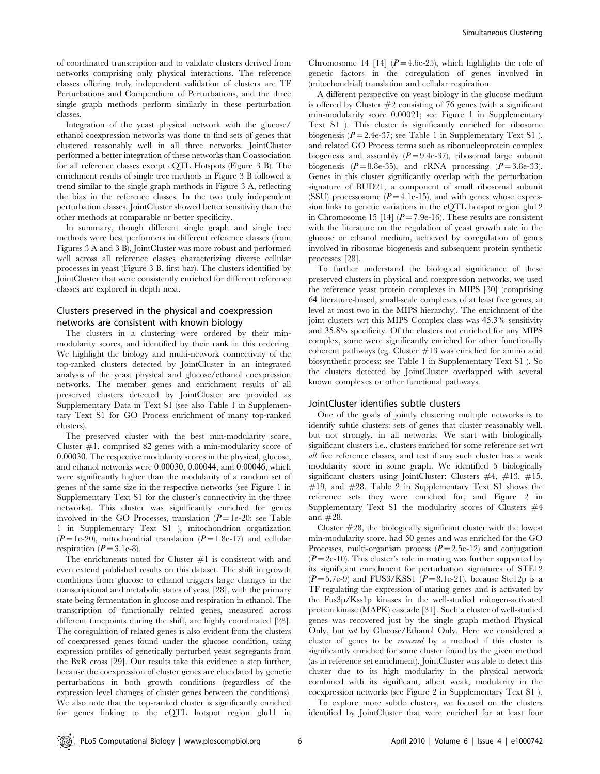of coordinated transcription and to validate clusters derived from networks comprising only physical interactions. The reference classes offering truly independent validation of clusters are TF Perturbations and Compendium of Perturbations, and the three single graph methods perform similarly in these perturbation classes.

Integration of the yeast physical network with the glucose/ ethanol coexpression networks was done to find sets of genes that clustered reasonably well in all three networks. JointCluster performed a better integration of these networks than Coassociation for all reference classes except eQTL Hotspots (Figure 3 B). The enrichment results of single tree methods in Figure 3 B followed a trend similar to the single graph methods in Figure 3 A, reflecting the bias in the reference classes. In the two truly independent perturbation classes, JointCluster showed better sensitivity than the other methods at comparable or better specificity.

In summary, though different single graph and single tree methods were best performers in different reference classes (from Figures 3 A and 3 B), JointCluster was more robust and performed well across all reference classes characterizing diverse cellular processes in yeast (Figure 3 B, first bar). The clusters identified by JointCluster that were consistently enriched for different reference classes are explored in depth next.

# Clusters preserved in the physical and coexpression networks are consistent with known biology

The clusters in a clustering were ordered by their minmodularity scores, and identified by their rank in this ordering. We highlight the biology and multi-network connectivity of the top-ranked clusters detected by JointCluster in an integrated analysis of the yeast physical and glucose/ethanol coexpression networks. The member genes and enrichment results of all preserved clusters detected by JointCluster are provided as Supplementary Data in Text S1 (see also Table 1 in Supplementary Text S1 for GO Process enrichment of many top-ranked clusters).

The preserved cluster with the best min-modularity score, Cluster  $\#1$ , comprised 82 genes with a min-modularity score of 0:00030. The respective modularity scores in the physical, glucose, and ethanol networks were 0:00030, 0:00044, and 0:00046, which were significantly higher than the modularity of a random set of genes of the same size in the respective networks (see Figure 1 in Supplementary Text S1 for the cluster's connectivity in the three networks). This cluster was significantly enriched for genes involved in the GO Processes, translation  $(P=1e-20)$ ; see Table 1 in Supplementary Text S1 ), mitochondrion organization  $(P=1e-20)$ , mitochondrial translation  $(P=1.8e-17)$  and cellular respiration ( $P=3.1e-8$ ).

The enrichments noted for Cluster  $#1$  is consistent with and even extend published results on this dataset. The shift in growth conditions from glucose to ethanol triggers large changes in the transcriptional and metabolic states of yeast [28], with the primary state being fermentation in glucose and respiration in ethanol. The transcription of functionally related genes, measured across different timepoints during the shift, are highly coordinated [28]. The coregulation of related genes is also evident from the clusters of coexpressed genes found under the glucose condition, using expression profiles of genetically perturbed yeast segregants from the BxR cross [29]. Our results take this evidence a step further, because the coexpression of cluster genes are elucidated by genetic perturbations in both growth conditions (regardless of the expression level changes of cluster genes between the conditions). We also note that the top-ranked cluster is significantly enriched for genes linking to the eQTL hotspot region glu11 in Chromosome 14 [14]  $(P=4.6e-25)$ , which highlights the role of genetic factors in the coregulation of genes involved in (mitochondrial) translation and cellular respiration.

A different perspective on yeast biology in the glucose medium is offered by Cluster  $#2$  consisting of 76 genes (with a significant min-modularity score 0.00021; see Figure 1 in Supplementary Text S1 ). This cluster is significantly enriched for ribosome biogenesis ( $P=2.4e-37$ ; see Table 1 in Supplementary Text S1), and related GO Process terms such as ribonucleoprotein complex biogenesis and assembly  $(P=9.4e-37)$ , ribosomal large subunit biogenesis  $(P=8.8e-35)$ , and rRNA processing  $(P=3.8e-33)$ . Genes in this cluster significantly overlap with the perturbation signature of BUD21, a component of small ribosomal subunit (SSU) processosome  $(P=4.1e-15)$ , and with genes whose expression links to genetic variations in the eQTL hotspot region glu12 in Chromosome 15 [14]  $(P=7.9e-16)$ . These results are consistent with the literature on the regulation of yeast growth rate in the glucose or ethanol medium, achieved by coregulation of genes involved in ribosome biogenesis and subsequent protein synthetic processes [28].

To further understand the biological significance of these preserved clusters in physical and coexpression networks, we used the reference yeast protein complexes in MIPS [30] (comprising 64 literature-based, small-scale complexes of at least five genes, at level at most two in the MIPS hierarchy). The enrichment of the joint clusters wrt this MIPS Complex class was 45:3% sensitivity and 35:8% specificity. Of the clusters not enriched for any MIPS complex, some were significantly enriched for other functionally coherent pathways (eg. Cluster  $#13$  was enriched for amino acid biosynthetic process; see Table 1 in Supplementary Text S1 ). So the clusters detected by JointCluster overlapped with several known complexes or other functional pathways.

#### JointCluster identifies subtle clusters

One of the goals of jointly clustering multiple networks is to identify subtle clusters: sets of genes that cluster reasonably well, but not strongly, in all networks. We start with biologically significant clusters i.e., clusters enriched for some reference set wrt all five reference classes, and test if any such cluster has a weak modularity score in some graph. We identified 5 biologically significant clusters using JointCluster: Clusters  $\#4, \#13, \#15,$  $#19$ , and  $#28$ . Table 2 in Supplementary Text S1 shows the reference sets they were enriched for, and Figure 2 in Supplementary Text S1 the modularity scores of Clusters #4 and  $#28$ .

Cluster #28, the biologically significant cluster with the lowest min-modularity score, had 50 genes and was enriched for the GO Processes, multi-organism process  $(P=2.5e-12)$  and conjugation  $(P=2e-10)$ . This cluster's role in mating was further supported by its significant enrichment for perturbation signatures of STE12  $(P=5.7e-9)$  and FUS3/KSS1  $(P=8.1e-21)$ , because Ste12p is a TF regulating the expression of mating genes and is activated by the Fus3p/Kss1p kinases in the well-studied mitogen-activated protein kinase (MAPK) cascade [31]. Such a cluster of well-studied genes was recovered just by the single graph method Physical Only, but not by Glucose/Ethanol Only. Here we considered a cluster of genes to be recovered by a method if this cluster is significantly enriched for some cluster found by the given method (as in reference set enrichment). JointCluster was able to detect this cluster due to its high modularity in the physical network combined with its significant, albeit weak, modularity in the coexpression networks (see Figure 2 in Supplementary Text S1 ).

To explore more subtle clusters, we focused on the clusters identified by JointCluster that were enriched for at least four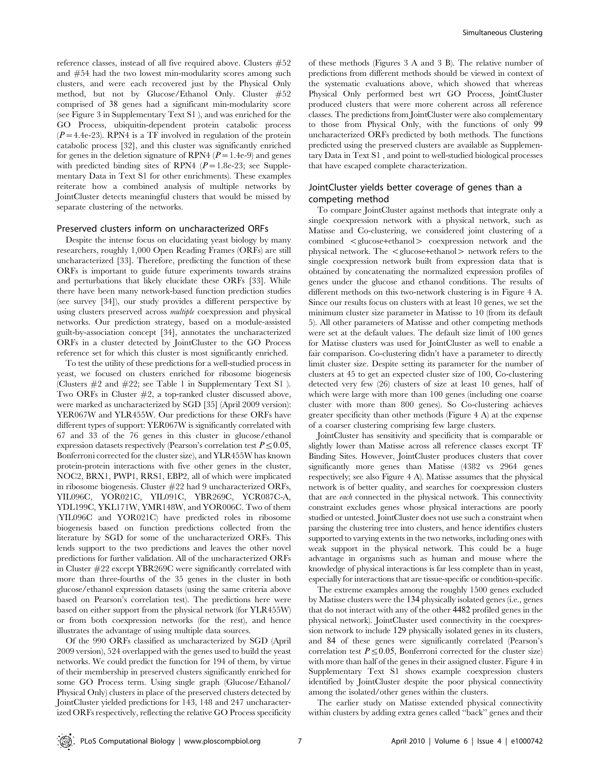reference classes, instead of all five required above. Clusters #52 and #54 had the two lowest min-modularity scores among such clusters, and were each recovered just by the Physical Only method, but not by Glucose/Ethanol Only. Cluster #52 comprised of 38 genes had a significant min-modularity score (see Figure 3 in Supplementary Text S1 ), and was enriched for the GO Process, ubiquitin-dependent protein catabolic process  $(P=4.4e-23)$ . RPN4 is a TF involved in regulation of the protein catabolic process [32], and this cluster was significantly enriched for genes in the deletion signature of RPN4 ( $P=1.4e-9$ ) and genes with predicted binding sites of RPN4  $(P=1.8e-23;$  see Supplementary Data in Text S1 for other enrichments). These examples reiterate how a combined analysis of multiple networks by JointCluster detects meaningful clusters that would be missed by separate clustering of the networks.

#### Preserved clusters inform on uncharacterized ORFs

Despite the intense focus on elucidating yeast biology by many researchers, roughly 1,000 Open Reading Frames (ORFs) are still uncharacterized [33]. Therefore, predicting the function of these ORFs is important to guide future experiments towards strains and perturbations that likely elucidate these ORFs [33]. While there have been many network-based function prediction studies (see survey [34]), our study provides a different perspective by using clusters preserved across multiple coexpression and physical networks. Our prediction strategy, based on a module-assisted guilt-by-association concept [34], annotates the uncharacterized ORFs in a cluster detected by JointCluster to the GO Process reference set for which this cluster is most significantly enriched.

To test the utility of these predictions for a well-studied process in yeast, we focused on clusters enriched for ribosome biogenesis (Clusters  $#2$  and  $#22$ ; see Table 1 in Supplementary Text S1). Two ORFs in Cluster #2, a top-ranked cluster discussed above, were marked as uncharacterized by SGD [35] (April 2009 version): YER067W and YLR455W. Our predictions for these ORFs have different types of support: YER067W is significantly correlated with 67 and 33 of the 76 genes in this cluster in glucose/ethanol expression datasets respectively (Pearson's correlation test  $P \le 0.05$ , Bonferroni corrected for the cluster size), and YLR455W has known protein-protein interactions with five other genes in the cluster, NOC2, BRX1, PWP1, RRS1, EBP2, all of which were implicated in ribosome biogenesis. Cluster #22 had 9 uncharacterized ORFs, YIL096C, YOR021C, YIL091C, YBR269C, YCR087C-A, YDL199C, YKL171W, YMR148W, and YOR006C. Two of them (YIL096C and YOR021C) have predicted roles in ribosome biogenesis based on function predictions collected from the literature by SGD for some of the uncharacterized ORFs. This lends support to the two predictions and leaves the other novel predictions for further validation. All of the uncharacterized ORFs in Cluster #22 except YBR269C were significantly correlated with more than three-fourths of the 35 genes in the cluster in both glucose/ethanol expression datasets (using the same criteria above based on Pearson's correlation test). The predictions here were based on either support from the physical network (for YLR455W) or from both coexpression networks (for the rest), and hence illustrates the advantage of using multiple data sources.

Of the 990 ORFs classified as uncharacterized by SGD (April 2009 version), 524 overlapped with the genes used to build the yeast networks. We could predict the function for 194 of them, by virtue of their membership in preserved clusters significantly enriched for some GO Process term. Using single graph (Glucose/Ethanol/ Physical Only) clusters in place of the preserved clusters detected by JointCluster yielded predictions for 143, 148 and 247 uncharacterized ORFs respectively, reflecting the relative GO Process specificity

of these methods (Figures 3 A and 3 B). The relative number of predictions from different methods should be viewed in context of the systematic evaluations above, which showed that whereas Physical Only performed best wrt GO Process, JointCluster produced clusters that were more coherent across all reference classes. The predictions from JointCluster were also complementary to those from Physical Only, with the functions of only 99 uncharacterized ORFs predicted by both methods. The functions predicted using the preserved clusters are available as Supplementary Data in Text S1 , and point to well-studied biological processes that have escaped complete characterization.

# JointCluster yields better coverage of genes than a competing method

To compare JointCluster against methods that integrate only a single coexpression network with a physical network, such as Matisse and Co-clustering, we considered joint clustering of a combined < glucose+ethanol> coexpression network and the physical network. The  $\leq$  glucose+ethanol  $>$  network refers to the single coexpression network built from expression data that is obtained by concatenating the normalized expression profiles of genes under the glucose and ethanol conditions. The results of different methods on this two-network clustering is in Figure 4 A. Since our results focus on clusters with at least 10 genes, we set the minimum cluster size parameter in Matisse to 10 (from its default 5). All other parameters of Matisse and other competing methods were set at the default values. The default size limit of 100 genes for Matisse clusters was used for JointCluster as well to enable a fair comparison. Co-clustering didn't have a parameter to directly limit cluster size. Despite setting its parameter for the number of clusters at 45 to get an expected cluster size of 100, Co-clustering detected very few (26) clusters of size at least 10 genes, half of which were large with more than 100 genes (including one coarse cluster with more than 800 genes). So Co-clustering achieves greater specificity than other methods (Figure 4 A) at the expense of a coarser clustering comprising few large clusters.

JointCluster has sensitivity and specificity that is comparable or slightly lower than Matisse across all reference classes except TF Binding Sites. However, JointCluster produces clusters that cover significantly more genes than Matisse (4382 vs 2964 genes respectively; see also Figure 4 A). Matisse assumes that the physical network is of better quality, and searches for coexpression clusters that are each connected in the physical network. This connectivity constraint excludes genes whose physical interactions are poorly studied or untested. JointCluster does not use such a constraint when parsing the clustering tree into clusters, and hence identifies clusters supported to varying extents in the two networks, including ones with weak support in the physical network. This could be a huge advantage in organisms such as human and mouse where the knowledge of physical interactions is far less complete than in yeast, especially for interactions that are tissue-specific or condition-specific.

The extreme examples among the roughly 1500 genes excluded by Matisse clusters were the 134 physically isolated genes (i.e., genes that do not interact with any of the other 4482 profiled genes in the physical network). JointCluster used connectivity in the coexpression network to include 129 physically isolated genes in its clusters, and 84 of these genes were significantly correlated (Pearson's correlation test  $P \le 0.05$ , Bonferroni corrected for the cluster size) with more than half of the genes in their assigned cluster. Figure 4 in Supplementary Text S1 shows example coexpression clusters identified by JointCluster despite the poor physical connectivity among the isolated/other genes within the clusters.

The earlier study on Matisse extended physical connectivity within clusters by adding extra genes called ''back'' genes and their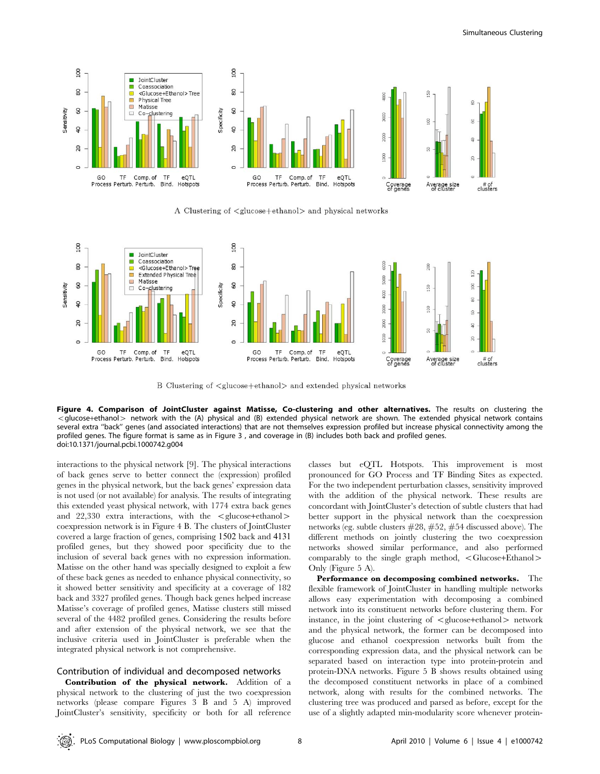

A Clustering of  $\langle$  glucose+ethanol> and physical networks



B Clustering of <glucose+ethanol> and extended physical networks

Figure 4. Comparison of JointCluster against Matisse, Co-clustering and other alternatives. The results on clustering the  $\lt$ glucose+ethanol $>$  network with the (A) physical and (B) extended physical network are shown. The extended physical network contains several extra ''back'' genes (and associated interactions) that are not themselves expression profiled but increase physical connectivity among the profiled genes. The figure format is same as in Figure 3 , and coverage in (B) includes both back and profiled genes. doi:10.1371/journal.pcbi.1000742.g004

interactions to the physical network [9]. The physical interactions of back genes serve to better connect the (expression) profiled genes in the physical network, but the back genes' expression data is not used (or not available) for analysis. The results of integrating this extended yeast physical network, with 1774 extra back genes and  $22,330$  extra interactions, with the  $\leq$  glucose+ethanol  $>$ coexpression network is in Figure 4 B. The clusters of JointCluster covered a large fraction of genes, comprising 1502 back and 4131 profiled genes, but they showed poor specificity due to the inclusion of several back genes with no expression information. Matisse on the other hand was specially designed to exploit a few of these back genes as needed to enhance physical connectivity, so it showed better sensitivity and specificity at a coverage of 182 back and 3327 profiled genes. Though back genes helped increase Matisse's coverage of profiled genes, Matisse clusters still missed several of the 4482 profiled genes. Considering the results before and after extension of the physical network, we see that the inclusive criteria used in JointCluster is preferable when the integrated physical network is not comprehensive.

# Contribution of individual and decomposed networks

Contribution of the physical network. Addition of a physical network to the clustering of just the two coexpression networks (please compare Figures 3 B and 5 A) improved JointCluster's sensitivity, specificity or both for all reference

classes but eQTL Hotspots. This improvement is most pronounced for GO Process and TF Binding Sites as expected. For the two independent perturbation classes, sensitivity improved with the addition of the physical network. These results are concordant with JointCluster's detection of subtle clusters that had better support in the physical network than the coexpression networks (eg. subtle clusters #28, #52, #54 discussed above). The different methods on jointly clustering the two coexpression networks showed similar performance, and also performed comparably to the single graph method,  $\langle$  Glucose+Ethanol $\rangle$ Only (Figure 5 A).

Performance on decomposing combined networks. The flexible framework of JointCluster in handling multiple networks allows easy experimentation with decomposing a combined network into its constituent networks before clustering them. For instance, in the joint clustering of  $\leq$  glucose+ethanol $>$  network and the physical network, the former can be decomposed into glucose and ethanol coexpression networks built from the corresponding expression data, and the physical network can be separated based on interaction type into protein-protein and protein-DNA networks. Figure 5 B shows results obtained using the decomposed constituent networks in place of a combined network, along with results for the combined networks. The clustering tree was produced and parsed as before, except for the use of a slightly adapted min-modularity score whenever protein-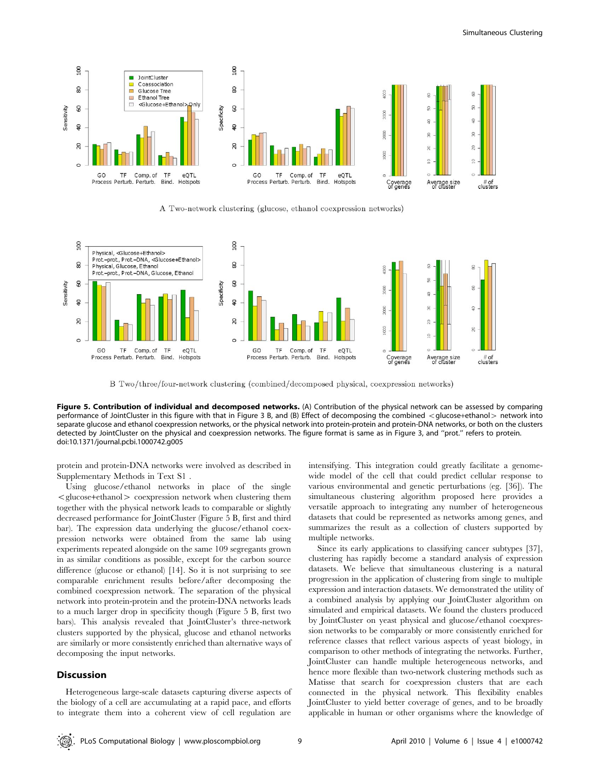

A Two-network clustering (glucose, ethanol coexpression networks)



B Two/three/four-network clustering (combined/decomposed physical, coexpression networks)

Figure 5. Contribution of individual and decomposed networks. (A) Contribution of the physical network can be assessed by comparing performance of JointCluster in this figure with that in Figure 3 B, and (B) Effect of decomposing the combined <qlucose+ethanol> network into separate glucose and ethanol coexpression networks, or the physical network into protein-protein and protein-DNA networks, or both on the clusters detected by JointCluster on the physical and coexpression networks. The figure format is same as in Figure 3, and ''prot.'' refers to protein. doi:10.1371/journal.pcbi.1000742.g005

protein and protein-DNA networks were involved as described in Supplementary Methods in Text S1 .

Using glucose/ethanol networks in place of the single  $\langle$  glucose+ethanol $\rangle$  coexpression network when clustering them together with the physical network leads to comparable or slightly decreased performance for JointCluster (Figure 5 B, first and third bar). The expression data underlying the glucose/ethanol coexpression networks were obtained from the same lab using experiments repeated alongside on the same 109 segregants grown in as similar conditions as possible, except for the carbon source difference (glucose or ethanol) [14]. So it is not surprising to see comparable enrichment results before/after decomposing the combined coexpression network. The separation of the physical network into protein-protein and the protein-DNA networks leads to a much larger drop in specificity though (Figure 5 B, first two bars). This analysis revealed that JointCluster's three-network clusters supported by the physical, glucose and ethanol networks are similarly or more consistently enriched than alternative ways of decomposing the input networks.

#### Discussion

Heterogeneous large-scale datasets capturing diverse aspects of the biology of a cell are accumulating at a rapid pace, and efforts to integrate them into a coherent view of cell regulation are

intensifying. This integration could greatly facilitate a genomewide model of the cell that could predict cellular response to various environmental and genetic perturbations (eg. [36]). The simultaneous clustering algorithm proposed here provides a versatile approach to integrating any number of heterogeneous datasets that could be represented as networks among genes, and summarizes the result as a collection of clusters supported by multiple networks.

Since its early applications to classifying cancer subtypes [37], clustering has rapidly become a standard analysis of expression datasets. We believe that simultaneous clustering is a natural progression in the application of clustering from single to multiple expression and interaction datasets. We demonstrated the utility of a combined analysis by applying our JointCluster algorithm on simulated and empirical datasets. We found the clusters produced by JointCluster on yeast physical and glucose/ethanol coexpression networks to be comparably or more consistently enriched for reference classes that reflect various aspects of yeast biology, in comparison to other methods of integrating the networks. Further, JointCluster can handle multiple heterogeneous networks, and hence more flexible than two-network clustering methods such as Matisse that search for coexpression clusters that are each connected in the physical network. This flexibility enables JointCluster to yield better coverage of genes, and to be broadly applicable in human or other organisms where the knowledge of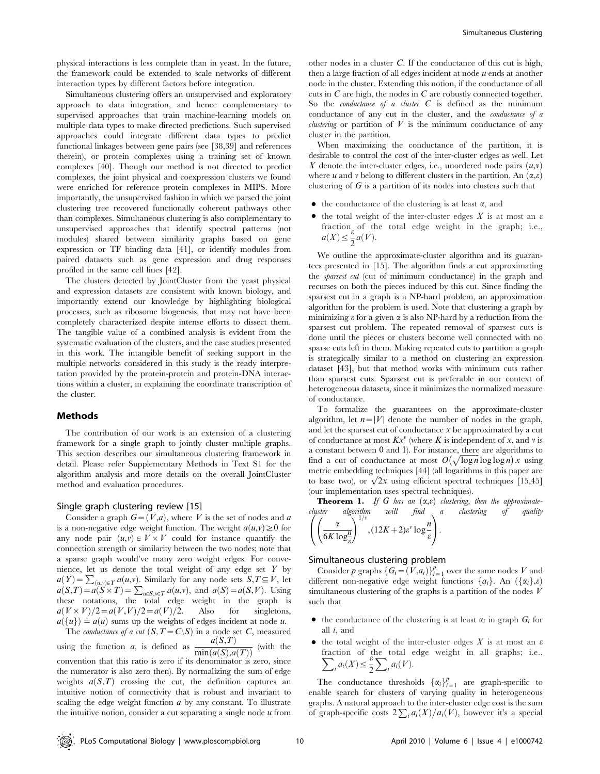physical interactions is less complete than in yeast. In the future, the framework could be extended to scale networks of different interaction types by different factors before integration.

Simultaneous clustering offers an unsupervised and exploratory approach to data integration, and hence complementary to supervised approaches that train machine-learning models on multiple data types to make directed predictions. Such supervised approaches could integrate different data types to predict functional linkages between gene pairs (see [38,39] and references therein), or protein complexes using a training set of known complexes [40]. Though our method is not directed to predict complexes, the joint physical and coexpression clusters we found were enriched for reference protein complexes in MIPS. More importantly, the unsupervised fashion in which we parsed the joint clustering tree recovered functionally coherent pathways other than complexes. Simultaneous clustering is also complementary to unsupervised approaches that identify spectral patterns (not modules) shared between similarity graphs based on gene expression or TF binding data [41], or identify modules from paired datasets such as gene expression and drug responses profiled in the same cell lines [42].

The clusters detected by JointCluster from the yeast physical and expression datasets are consistent with known biology, and importantly extend our knowledge by highlighting biological processes, such as ribosome biogenesis, that may not have been completely characterized despite intense efforts to dissect them. The tangible value of a combined analysis is evident from the systematic evaluation of the clusters, and the case studies presented in this work. The intangible benefit of seeking support in the multiple networks considered in this study is the ready interpretation provided by the protein-protein and protein-DNA interactions within a cluster, in explaining the coordinate transcription of the cluster.

#### Methods

The contribution of our work is an extension of a clustering framework for a single graph to jointly cluster multiple graphs. This section describes our simultaneous clustering framework in detail. Please refer Supplementary Methods in Text S1 for the algorithm analysis and more details on the overall JointCluster method and evaluation procedures.

#### Single graph clustering review [15]

Consider a graph  $G=(V,a)$ , where V is the set of nodes and a is a non-negative edge weight function. The weight  $a(u, v) \geq 0$  for any node pair  $(u, v) \in V \times V$  could for instance quantify the connection strength or similarity between the two nodes; note that a sparse graph would've many zero weight edges. For convenience, let us denote the total weight of any edge set Y by  $a(Y) = \sum_{(u,v)\in Y} a(u,v)$ . Similarly for any node sets  $S, T \subseteq V$ , let  $a(S,T) = a(S \times T) = \sum_{u \in S, v \in T} a(u,v)$ , and  $a(S) = a(S,V)$ . Using these notations, the total edge weight in the graph is  $a(V \times V)/2 = a(V,V)/2 = a(V)/2.$  Also for singletons,  $a(\overrightarrow{u} \cdot \overrightarrow{v})/2 = a(\overrightarrow{v})/2 = a(\overrightarrow{v})/2$ . This formal singleton. The *conductance of a cut*  $(S, T = C\backslash S)$  in a node set C, measured using the function a, is defined as  $\frac{a(S,T)}{\min(a(S),a(T))}$  (with the

convention that this ratio is zero if its denominator is zero, since the numerator is also zero then). By normalizing the sum of edge weights  $a(S,T)$  crossing the cut, the definition captures an intuitive notion of connectivity that is robust and invariant to scaling the edge weight function  $a$  by any constant. To illustrate the intuitive notion, consider a cut separating a single node  $u$  from other nodes in a cluster  $C$ . If the conductance of this cut is high, then a large fraction of all edges incident at node  $u$  ends at another node in the cluster. Extending this notion, if the conductance of all cuts in C are high, the nodes in C are robustly connected together. So the *conductance* of a *cluster*  $C$  is defined as the minimum conductance of any cut in the cluster, and the conductance of a *clustering* or partition of  $V$  is the minimum conductance of any cluster in the partition.

When maximizing the conductance of the partition, it is desirable to control the cost of the inter-cluster edges as well. Let X denote the inter-cluster edges, i.e., unordered node pairs  $(u, v)$ where u and v belong to different clusters in the partition. An  $(\alpha, \varepsilon)$ clustering of  $G$  is a partition of its nodes into clusters such that

- $\bullet$  the conductance of the clustering is at least  $\alpha$ , and
- the total weight of the inter-cluster edges X is at most an  $\varepsilon$ fraction of the total edge weight in the graph; i.e.,  $a(X) \leq \frac{c}{2} a(V).$

We outline the approximate-cluster algorithm and its guarantees presented in [15]. The algorithm finds a cut approximating the sparsest cut (cut of minimum conductance) in the graph and recurses on both the pieces induced by this cut. Since finding the sparsest cut in a graph is a NP-hard problem, an approximation algorithm for the problem is used. Note that clustering a graph by minimizing  $\varepsilon$  for a given  $\alpha$  is also NP-hard by a reduction from the sparsest cut problem. The repeated removal of sparsest cuts is done until the pieces or clusters become well connected with no sparse cuts left in them. Making repeated cuts to partition a graph is strategically similar to a method on clustering an expression dataset [43], but that method works with minimum cuts rather than sparsest cuts. Sparsest cut is preferable in our context of heterogeneous datasets, since it minimizes the normalized measure of conductance.

To formalize the guarantees on the approximate-cluster algorithm, let  $n=|V|$  denote the number of nodes in the graph, and let the sparsest cut of conductance  $x$  be approximated by a cut of conductance at most  $Kx^v$  (where K is independent of x, and v is a constant between 0 and 1). For instance, there are algorithms to find a cut of conductance at most  $O(\sqrt{\log n} \log \log n) x$  using metric embedding techniques [44] (all logarithms in this paper are to base two), or  $\sqrt{2x}$  using efficient spectral techniques [15,45] (our implementation uses spectral techniques).

**Theorem 1.** If G has an  $(\alpha, \varepsilon)$  clustering, then the approximate-<br>cluster algorithm will find a clustering of quality  $algorithms$  will find a  $6K \log_{\varepsilon}^n$  $\left( \begin{array}{c} \alpha \\ 1 \end{array} \right)^{1/v}$  $\int_0^{\infty} (12K+2)\varepsilon^{\nu} \log \frac{n}{\varepsilon}$  $\sqrt{2}$  $\overline{ }$  $\lambda$  $\cdot$  )  $\cdot$ 

### Simultaneous clustering problem

Consider p graphs  $\{G_i = (V,a_i)\}_{i=1}^p$  over the same nodes V and different non-negative edge weight functions  $\{a_i\}$ . An  $(\{\alpha_i\}, \varepsilon)$ simultaneous clustering of the graphs is a partition of the nodes  $V$ such that

- the conductance of the clustering is at least  $\alpha_i$  in graph  $G_i$  for all i, and
- the total weight of the inter-cluster edges X is at most an  $\varepsilon$ fraction of the total edge weight in all graphs; i.e., Fraction of  $\sum_{i} a_i(X) \leq \frac{\varepsilon}{2}$  $\frac{\epsilon}{2} \sum_i a_i(V).$

The conductance thresholds  $\{\alpha_i\}_{i=1}^p$  are graph-specific to enable search for clusters of varying quality in heterogeneous graphs. A natural approach to the inter-cluster edge cost is the sum of graph-specific costs  $2\sum_i a_i(X)/a_i(V)$ , however it's a special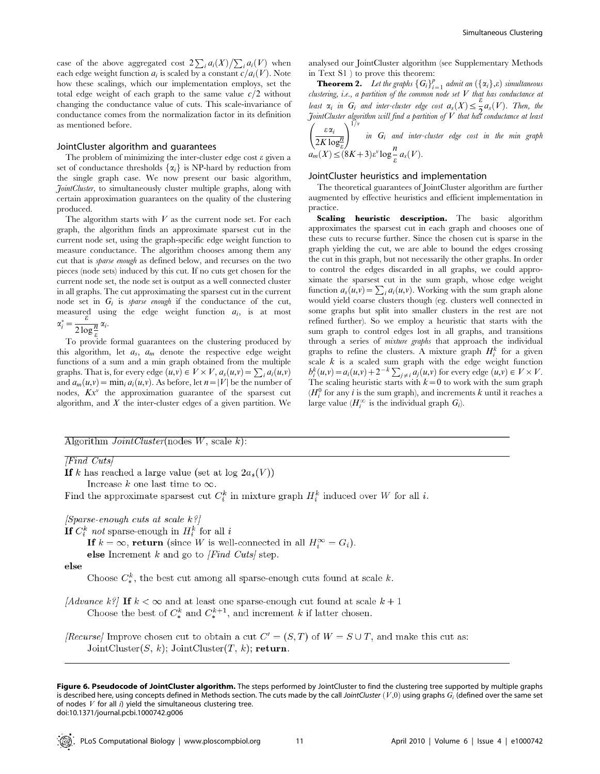case of the above aggregated cost  $2\sum_i a_i(X)/\sum_i a_i(V)$  when each edge weight function  $a_i$  is scaled by a constant  $c/a_i(V)$ . Note how these scalings, which our implementation employs, set the total edge weight of each graph to the same value  $c/2$  without changing the conductance value of cuts. This scale-invariance of conductance comes from the normalization factor in its definition as mentioned before.

#### JointCluster algorithm and guarantees

The problem of minimizing the inter-cluster edge cost  $\varepsilon$  given a set of conductance thresholds  $\{\alpha_i\}$  is NP-hard by reduction from the single graph case. We now present our basic algorithm, JointCluster, to simultaneously cluster multiple graphs, along with certain approximation guarantees on the quality of the clustering produced.

The algorithm starts with  $V$  as the current node set. For each graph, the algorithm finds an approximate sparsest cut in the current node set, using the graph-specific edge weight function to measure conductance. The algorithm chooses among them any cut that is sparse enough as defined below, and recurses on the two pieces (node sets) induced by this cut. If no cuts get chosen for the current node set, the node set is output as a well connected cluster in all graphs. The cut approximating the sparsest cut in the current node set in  $G_i$  is sparse enough if the conductance of the cut, measured using the edge weight function  $a_i$ , is at most  $\alpha_i$ .

 $\alpha_i^* = \frac{c}{2 \log \frac{n}{\varepsilon}}$ 

To provide formal guarantees on the clustering produced by this algorithm, let  $a_s$ ,  $a_m$  denote the respective edge weight functions of a sum and a min graph obtained from the multiple graphs. That is, for every edge  $(u, v) \in V \times V$ ,  $a_s(u, v) = \sum_i a_i(u, v)$ and  $a_m(u, v) = \min_i a_i(u, v)$ . As before, let  $n = |V|$  be the number of nodes,  $Kx^{\nu}$  the approximation guarantee of the sparsest cut algorithm, and  $X$  the inter-cluster edges of a given partition. We

analysed our JointCluster algorithm (see Supplementary Methods in Text S1 ) to prove this theorem:

**Theorem 2.** Let the graphs  $\{G_i\}_{i=1}^p$  admit an  $(\{\alpha_i\}, \varepsilon)$  simultaneous clustering, i.e., a partition of the common node set V that has conductance at least  $\alpha_i$  in  $G_i$  and inter-cluster edge cost  $a_s(X) \leq \frac{\varepsilon}{2} a_s(V)$ . Then, the JointCluster algorithm will find a partition of V that has conductance at least  $\varepsilon \alpha_i$  $2K \log_{\varepsilon}^n$  $\left( \begin{array}{c} 1 \ 1 \end{array} \right)$ in  $G_i$  and inter-cluster edge cost in the min graph

 $a_m(X) \leq (8K+3)\varepsilon^{\nu} \log \frac{n}{\varepsilon} a_s(V).$ 

#### JointCluster heuristics and implementation

The theoretical guarantees of JointCluster algorithm are further augmented by effective heuristics and efficient implementation in practice.

Scaling heuristic description. The basic algorithm approximates the sparsest cut in each graph and chooses one of these cuts to recurse further. Since the chosen cut is sparse in the graph yielding the cut, we are able to bound the edges crossing the cut in this graph, but not necessarily the other graphs. In order to control the edges discarded in all graphs, we could approximate the sparsest cut in the sum graph, whose edge weight function  $a_s(u, v) = \sum_i a_i(u, v)$ . Working with the sum graph alone would yield coarse clusters though (eg. clusters well connected in some graphs but split into smaller clusters in the rest are not refined further). So we employ a heuristic that starts with the sum graph to control edges lost in all graphs, and transitions through a series of mixture graphs that approach the individual graphs to refine the clusters. A mixture graph  $H_i^k$  for a given scale  $k$  is a scaled sum graph with the edge weight function  $b_i^k(u, v) = a_i(u, v) + 2^{-k} \sum_{j \neq i} a_j(u, v)$  for every edge  $(u, v) \in V \times V$ . The scaling heuristic starts with  $k=0$  to work with the sum graph  $(H_i^0)$  for any  $i$  is the sum graph), and increments  $k$  until it reaches a large value  $(H_i^{\infty})$  is the individual graph  $G_i$ ).

Algorithm  $JointCluster$ (nodes W, scale k):

# $\overline{Find}$  Cuts

If k has reached a large value (set at  $\log 2a_s(V)$ )

Increase  $k$  one last time to  $\infty$ .

Find the approximate sparsest cut  $C_i^k$  in mixture graph  $H_i^k$  induced over W for all i.

 $[Sparse\text{-}enough cuts at scale k$ ?]

**If**  $C_i^k$  not sparse-enough in  $H_i^k$  for all i

If  $k = \infty$ , return (since W is well-connected in all  $H_i^{\infty} = G_i$ ).

else Increment  $k$  and go to *[Find Cuts]* step.

#### else

Choose  $C_{*}^{k}$ , the best cut among all sparse-enough cuts found at scale k.

*Advance* k? If  $k < \infty$  and at least one sparse-enough cut found at scale  $k + 1$ Choose the best of  $C_*^k$  and  $C_*^{k+1}$ , and increment k if latter chosen.

*Recurse* Improve chosen cut to obtain a cut  $C' = (S,T)$  of  $W = S \cup T$ , and make this cut as:  $JointCluster(S, k); JointCluster(T, k); return.$ 

Figure 6. Pseudocode of JointCluster algorithm. The steps performed by JointCluster to find the clustering tree supported by multiple graphs is described here, using concepts defined in Methods section. The cuts made by the call JointCluster  $(V,0)$  using graphs  $G_i$  (defined over the same set of nodes  $V$  for all  $i$ ) yield the simultaneous clustering tree. doi:10.1371/journal.pcbi.1000742.g006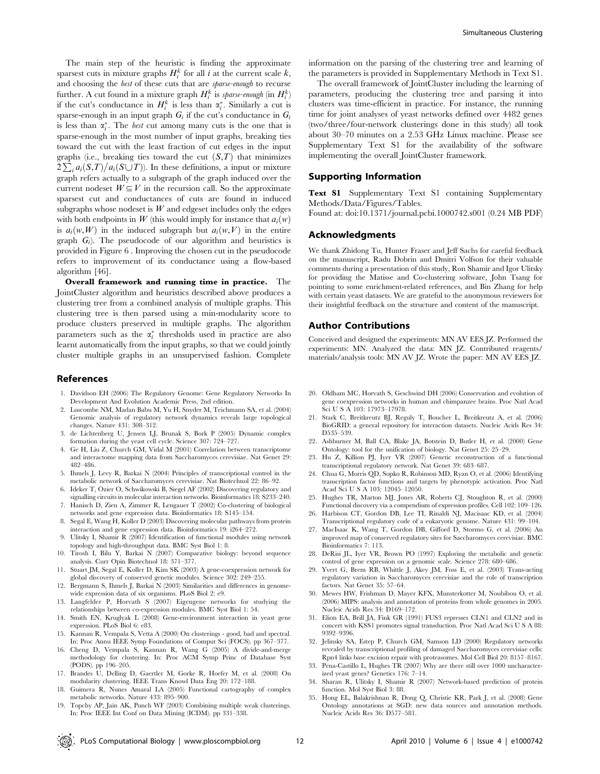The main step of the heuristic is finding the approximate sparsest cuts in mixture graphs  $H_i^k$  for all i at the current scale  $k$ , and choosing the best of these cuts that are sparse-enough to recurse further. A cut found in a mixture graph  $H_i^k$  is sparse-enough (in  $H_i^k$ ) if the cut's conductance in  $H_i^k$  is less than  $\alpha_i^*$ . Similarly a cut is sparse-enough in an input graph  $G_i$  if the cut's conductance in  $G_i$ is less than  $\alpha_i^*$ . The *best* cut among many cuts is the one that is sparse-enough in the most number of input graphs, breaking ties toward the cut with the least fraction of cut edges in the input graphs (i.e., breaking ties toward the cut  $(S,T)$  that minimizes  $2\sum_{i} a_i(S,T)/a_i(S\cup T)$ ). In these definitions, a input or mixture graph refers actually to a subgraph of the graph induced over the current nodeset  $W \subseteq V$  in the recursion call. So the approximate sparsest cut and conductances of cuts are found in induced subgraphs whose nodeset is  $W$  and edgeset includes only the edges with both endpoints in W (this would imply for instance that  $a_i(w)$ is  $a_i(w, W)$  in the induced subgraph but  $a_i(w, V)$  in the entire graph  $G_i$ ). The pseudocode of our algorithm and heuristics is provided in Figure 6 . Improving the chosen cut in the pseudocode refers to improvement of its conductance using a flow-based algorithm [46].

Overall framework and running time in practice. The JointCluster algorithm and heuristics described above produces a clustering tree from a combined analysis of multiple graphs. This clustering tree is then parsed using a min-modularity score to produce clusters preserved in multiple graphs. The algorithm parameters such as the  $\alpha_i^*$  thresholds used in practice are also learnt automatically from the input graphs, so that we could jointly cluster multiple graphs in an unsupervised fashion. Complete

## References

- 1. Davidson EH (2006) The Regulatory Genome: Gene Regulatory Networks In Development And Evolution Academic Press, 2nd edition.
- 2. Luscombe NM, Madan Babu M, Yu H, Snyder M, Teichmann SA, et al. (2004) Genomic analysis of regulatory network dynamics reveals large topological changes. Nature 431: 308–312.
- 3. de Lichtenberg U, Jensen LJ, Brunak S, Bork P (2005) Dynamic complex formation during the yeast cell cycle. Science 307: 724–727.
- 4. Ge H, Liu Z, Church GM, Vidal M (2001) Correlation between transcriptome and interactome mapping data from Saccharomyces cerevisiae. Nat Genet 29: 482–486.
- 5. Ihmels J, Levy R, Barkai N (2004) Principles of transcriptional control in the metabolic network of Saccharomyces cerevisiae. Nat Biotechnol 22: 86–92.
- 6. Ideker T, Ozier O, Schwikowski B, Siegel AF (2002) Discovering regulatory and signalling circuits in molecular interaction networks. Bioinformatics 18: S233–240.
- 7. Hanisch D, Zien A, Zimmer R, Lengauer T (2002) Co-clustering of biological networks and gene expression data. Bioinformatics 18: S145–154.
- 8. Segal E, Wang H, Koller D (2003) Discovering molecular pathways from protein interaction and gene expression data. Bioinformatics 19: i264–272.
- 9. Ulitsky I, Shamir R (2007) Identification of functional modules using network topology and high-throughput data. BMC Syst Biol 1: 8.
- 10. Tirosh I, Bilu Y, Barkai N (2007) Comparative biology: beyond sequence analysis. Curr Opin Biotechnol 18: 371–377.
- 11. Stuart JM, Segal E, Koller D, Kim SK (2003) A gene-coexpression network for global discovery of conserved genetic modules. Science 302: 249–255.
- 12. Bergmann S, Ihmels J, Barkai N (2003) Similarities and differences in genomewide expression data of six organisms. PLoS Biol 2: e9.
- 13. Langfelder P, Horvath S (2007) Eigengene networks for studying the relationships between co-expression modules. BMC Syst Biol 1: 54.
- 14. Smith EN, Kruglyak L (2008) Gene-environment interaction in yeast gene expression. PLoS Biol 6: e83.
- 15. Kannan R, Vempala S, Vetta A (2000) On clusterings good, bad and spectral. In: Proc Annu IEEE Symp Foundations of Comput Sci (FOCS). pp 367–377.
- 16. Cheng D, Vempala S, Kannan R, Wang G (2005) A divide-and-merge methodology for clustering. In: Proc ACM Symp Princ of Database Syst (PODS). pp 196–205.
- 17. Brandes U, Delling D, Gaertler M, Gorke R, Hoefer M, et al. (2008) On modularity clustering. IEEE Trans Knowl Data Eng 20: 172–188.
- 18. Guimera R, Nunes Amaral LA (2005) Functional cartography of complex metabolic networks. Nature 433: 895–900.
- 19. Topchy AP, Jain AK, Punch WF (2003) Combining multiple weak clusterings. In: Proc IEEE Int Conf on Data Mining (ICDM). pp 331–338.

information on the parsing of the clustering tree and learning of the parameters is provided in Supplementary Methods in Text S1.

The overall framework of JointCluster including the learning of parameters, producing the clustering tree and parsing it into clusters was time-efficient in practice. For instance, the running time for joint analyses of yeast networks defined over 4482 genes (two/three/four-network clusterings done in this study) all took about 30–70 minutes on a 2.53 GHz Linux machine. Please see Supplementary Text S1 for the availability of the software implementing the overall JointCluster framework.

#### Supporting Information

Text S1 Supplementary Text S1 containing Supplementary Methods/Data/Figures/Tables.

Found at: doi:10.1371/journal.pcbi.1000742.s001 (0.24 MB PDF)

## Acknowledgments

We thank Zhidong Tu, Hunter Fraser and Jeff Sachs for careful feedback on the manuscript, Radu Dobrin and Dmitri Volfson for their valuable comments during a presentation of this study, Ron Shamir and Igor Ulitsky for providing the Matisse and Co-clustering software, John Tsang for pointing to some enrichment-related references, and Bin Zhang for help with certain yeast datasets. We are grateful to the anonymous reviewers for their insightful feedback on the structure and content of the manuscript.

#### Author Contributions

Conceived and designed the experiments: MN AV EES JZ. Performed the experiments: MN. Analyzed the data: MN JZ. Contributed reagents/ materials/analysis tools: MN AV JZ. Wrote the paper: MN AV EES JZ.

- 20. Oldham MC, Horvath S, Geschwind DH (2006) Conservation and evolution of gene coexpression networks in human and chimpanzee brains. Proc Natl Acad Sci U S A 103: 17973–17978.
- 21. Stark C, Breitkreutz BJ, Reguly T, Boucher L, Breitkreutz A, et al. (2006) BioGRID: a general repository for interaction datasets. Nucleic Acids Res 34: D535–539.
- 22. Ashburner M, Ball CA, Blake JA, Botstein D, Butler H, et al. (2000) Gene Ontology: tool for the unification of biology. Nat Genet 25: 25–29.
- 23. Hu Z, Killion PJ, Iyer VR (2007) Genetic reconstruction of a functional transcriptional regulatory network. Nat Genet 39: 683–687.
- 24. Chua G, Morris QD, Sopko R, Robinson MD, Ryan O, et al. (2006) Identifying transcription factor functions and targets by phenotypic activation. Proc Natl Acad Sci U S A 103: 12045–12050.
- 25. Hughes TR, Marton MJ, Jones AR, Roberts CJ, Stoughton R, et al. (2000) Functional discovery via a compendium of expression profiles. Cell 102: 109–126.
- 26. Harbison CT, Gordon DB, Lee TI, Rinaldi NJ, Macisaac KD, et al. (2004) Transcriptional regulatory code of a eukaryotic genome. Nature 431: 99–104.
- 27. MacIsaac K, Wang T, Gordon DB, Gifford D, Stormo G, et al. (2006) An improved map of conserved regulatory sites for Saccharomyces cerevisiae. BMC Bioinformatics 7: 113.
- 28. DeRisi JL, Iyer VR, Brown PO (1997) Exploring the metabolic and genetic control of gene expression on a genomic scale. Science 278: 680–686.
- 29. Yvert G, Brem RB, Whittle J, Akey JM, Foss E, et al. (2003) Trans-acting regulatory variation in Saccharomyces cerevisiae and the role of transcription factors. Nat Genet 35: 57–64.
- 30. Mewes HW, Frishman D, Mayer KFX, Munsterkotter M, Noubibou O, et al. (2006) MIPS: analysis and annotation of proteins from whole genomes in 2005. Nucleic Acids Res 34: D169–172.
- 31. Elion EA, Brill JA, Fink GR (1991) FUS3 represses CLN1 and CLN2 and in concert with KSS1 promotes signal transduction. Proc Natl Acad Sci U S A 88: 9392–9396.
- 32. Jelinsky SA, Estep P, Church GM, Samson LD (2000) Regulatory networks revealed by transcriptional profiling of damaged Saccharomyces cerevisiae cells: Rpn4 links base excision repair with proteasomes. Mol Cell Biol 20: 8157–8167.
- 33. Pena-Castillo L, Hughes TR (2007) Why are there still over 1000 uncharacterized yeast genes? Genetics 176: 7–14.
- 34. Sharan R, Ulitsky I, Shamir R (2007) Network-based prediction of protein function. Mol Syst Biol 3: 88.
- 35. Hong EL, Balakrishnan R, Dong Q, Christie KR, Park J, et al. (2008) Gene Ontology annotations at SGD: new data sources and annotation methods. Nucleic Acids Res 36: D577–581.